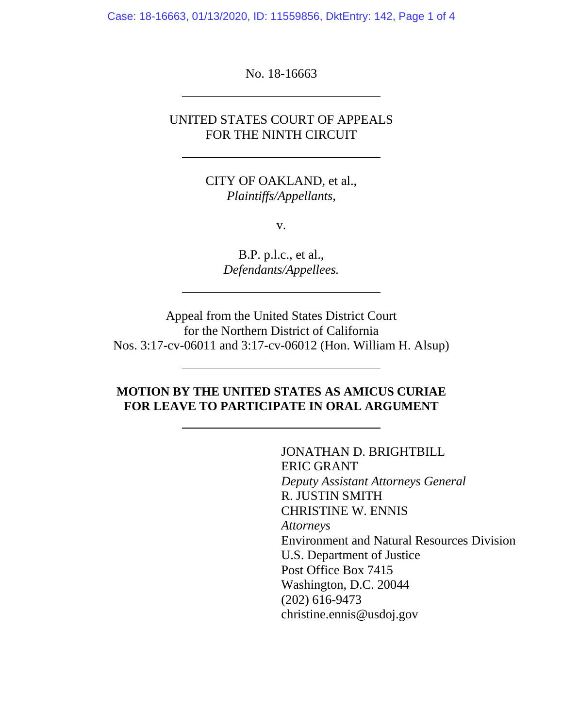Case: 18-16663, 01/13/2020, ID: 11559856, DktEntry: 142, Page 1 of 4

No. 18-16663

## UNITED STATES COURT OF APPEALS FOR THE NINTH CIRCUIT

CITY OF OAKLAND, et al., *Plaintiffs/Appellants,*

v.

B.P. p.l.c., et al., *Defendants/Appellees.*

Appeal from the United States District Court for the Northern District of California Nos. 3:17-cv-06011 and 3:17-cv-06012 (Hon. William H. Alsup)

## **MOTION BY THE UNITED STATES AS AMICUS CURIAE FOR LEAVE TO PARTICIPATE IN ORAL ARGUMENT**

JONATHAN D. BRIGHTBILL ERIC GRANT *Deputy Assistant Attorneys General* R. JUSTIN SMITH CHRISTINE W. ENNIS *Attorneys* Environment and Natural Resources Division U.S. Department of Justice Post Office Box 7415 Washington, D.C. 20044 (202) 616-9473 christine.ennis@usdoj.gov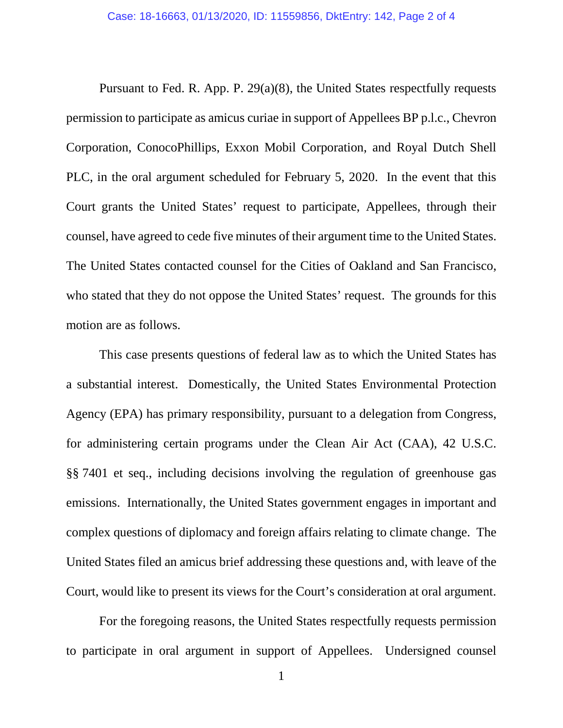Pursuant to Fed. R. App. P. 29(a)(8), the United States respectfully requests permission to participate as amicus curiae in support of Appellees BP p.l.c., Chevron Corporation, ConocoPhillips, Exxon Mobil Corporation, and Royal Dutch Shell PLC, in the oral argument scheduled for February 5, 2020. In the event that this Court grants the United States' request to participate, Appellees, through their counsel, have agreed to cede five minutes of their argument time to the United States. The United States contacted counsel for the Cities of Oakland and San Francisco, who stated that they do not oppose the United States' request. The grounds for this motion are as follows.

This case presents questions of federal law as to which the United States has a substantial interest. Domestically, the United States Environmental Protection Agency (EPA) has primary responsibility, pursuant to a delegation from Congress, for administering certain programs under the Clean Air Act (CAA), 42 U.S.C. §§ 7401 et seq., including decisions involving the regulation of greenhouse gas emissions. Internationally, the United States government engages in important and complex questions of diplomacy and foreign affairs relating to climate change. The United States filed an amicus brief addressing these questions and, with leave of the Court, would like to present its views for the Court's consideration at oral argument.

For the foregoing reasons, the United States respectfully requests permission to participate in oral argument in support of Appellees. Undersigned counsel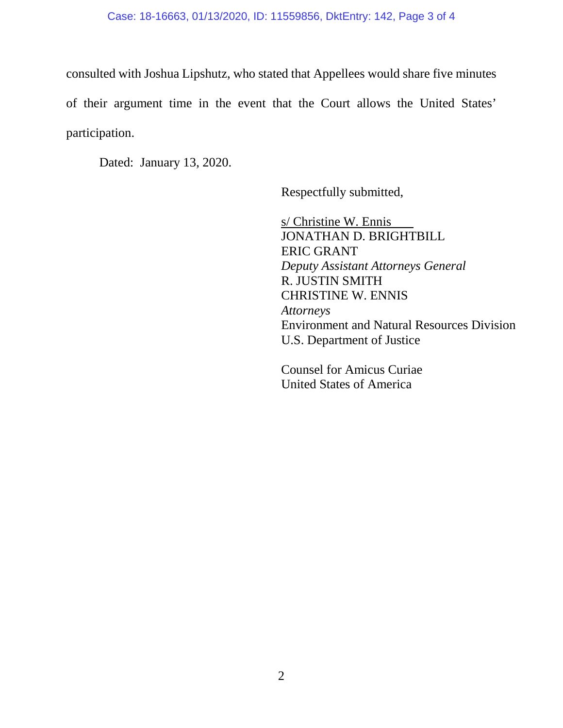## Case: 18-16663, 01/13/2020, ID: 11559856, DktEntry: 142, Page 3 of 4

consulted with Joshua Lipshutz, who stated that Appellees would share five minutes of their argument time in the event that the Court allows the United States' participation.

Dated: January 13, 2020.

Respectfully submitted,

s/ Christine W. Ennis JONATHAN D. BRIGHTBILL ERIC GRANT *Deputy Assistant Attorneys General* R. JUSTIN SMITH CHRISTINE W. ENNIS *Attorneys* Environment and Natural Resources Division U.S. Department of Justice

Counsel for Amicus Curiae United States of America